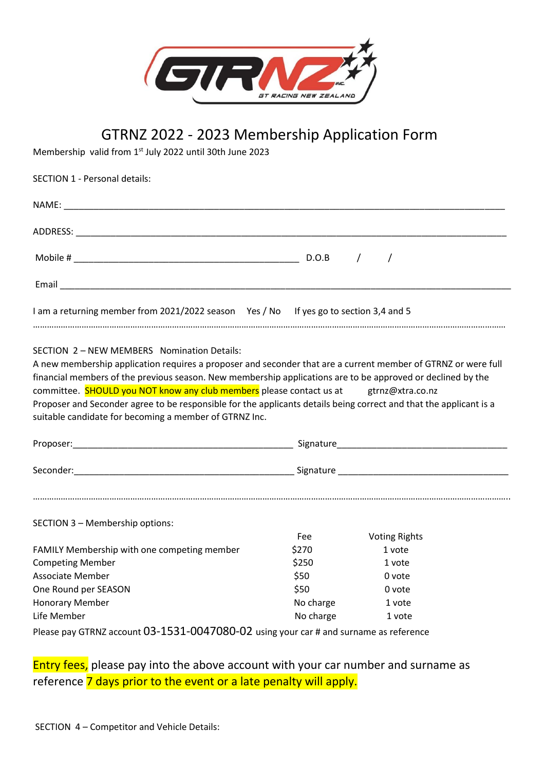

## GTRNZ 2022 - 2023 Membership Application Form

Membership valid from 1st July 2022 until 30th June 2023

| <b>SECTION 1 - Personal details:</b>                                                                                                                                                                                                                                                                                                                                                                                                                                                                                                                 |          |                      |  |
|------------------------------------------------------------------------------------------------------------------------------------------------------------------------------------------------------------------------------------------------------------------------------------------------------------------------------------------------------------------------------------------------------------------------------------------------------------------------------------------------------------------------------------------------------|----------|----------------------|--|
|                                                                                                                                                                                                                                                                                                                                                                                                                                                                                                                                                      |          |                      |  |
|                                                                                                                                                                                                                                                                                                                                                                                                                                                                                                                                                      |          |                      |  |
|                                                                                                                                                                                                                                                                                                                                                                                                                                                                                                                                                      |          |                      |  |
|                                                                                                                                                                                                                                                                                                                                                                                                                                                                                                                                                      |          |                      |  |
| I am a returning member from 2021/2022 season Yes / No If yes go to section 3,4 and 5                                                                                                                                                                                                                                                                                                                                                                                                                                                                |          |                      |  |
| SECTION 2 - NEW MEMBERS Nomination Details:<br>A new membership application requires a proposer and seconder that are a current member of GTRNZ or were full<br>financial members of the previous season. New membership applications are to be approved or declined by the<br>committee. SHOULD you NOT know any club members please contact us at gtrnz@xtra.co.nz<br>Proposer and Seconder agree to be responsible for the applicants details being correct and that the applicant is a<br>suitable candidate for becoming a member of GTRNZ Inc. |          |                      |  |
|                                                                                                                                                                                                                                                                                                                                                                                                                                                                                                                                                      |          |                      |  |
|                                                                                                                                                                                                                                                                                                                                                                                                                                                                                                                                                      |          |                      |  |
| SECTION 3 - Membership options:                                                                                                                                                                                                                                                                                                                                                                                                                                                                                                                      | Fee      | <b>Voting Rights</b> |  |
| FAMILY Membership with one competing member                                                                                                                                                                                                                                                                                                                                                                                                                                                                                                          | \$270    | 1 vote               |  |
| $\mathbf{A}$ and $\mathbf{A}$ are solutions of the contract of the contract of the contract of the contract of the contract of the contract of the contract of the contract of the contract of the contract of the contract of the co                                                                                                                                                                                                                                                                                                                | $\Delta$ |                      |  |

| <b>Competing Member</b> | \$250     | 1 vote |
|-------------------------|-----------|--------|
| Associate Member        | \$50      | 0 vote |
| One Round per SEASON    | \$50      | 0 vote |
| <b>Honorary Member</b>  | No charge | 1 vote |
| Life Member             | No charge | 1 vote |

Please pay GTRNZ account 03-1531-0047080-02 using your car # and surname as reference

## Entry fees, please pay into the above account with your car number and surname as reference 7 days prior to the event or a late penalty will apply.